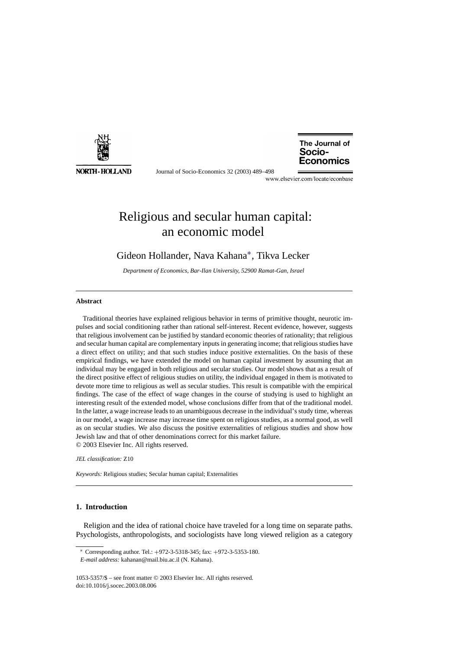

Journal of Socio-Economics 32 (2003) 489–498

The Journal of Socio-**Economics** 

www.elsevier.com/locate/econbase

## Religious and secular human capital: an economic model

### Gideon Hollander, Nava Kahana∗, Tikva Lecker

*Department of Economics, Bar-Ilan University, 52900 Ramat-Gan, Israel*

#### **Abstract**

Traditional theories have explained religious behavior in terms of primitive thought, neurotic impulses and social conditioning rather than rational self-interest. Recent evidence, however, suggests that religious involvement can be justified by standard economic theories of rationality; that religious and secular human capital are complementary inputs in generating income; that religious studies have a direct effect on utility; and that such studies induce positive externalities. On the basis of these empirical findings, we have extended the model on human capital investment by assuming that an individual may be engaged in both religious and secular studies. Our model shows that as a result of the direct positive effect of religious studies on utility, the individual engaged in them is motivated to devote more time to religious as well as secular studies. This result is compatible with the empirical findings. The case of the effect of wage changes in the course of studying is used to highlight an interesting result of the extended model, whose conclusions differ from that of the traditional model. In the latter, a wage increase leads to an unambiguous decrease in the individual's study time, whereas in our model, a wage increase may increase time spent on religious studies, as a normal good, as well as on secular studies. We also discuss the positive externalities of religious studies and show how Jewish law and that of other denominations correct for this market failure. © 2003 Elsevier Inc. All rights reserved.

#### *JEL classification:* Z10

*Keywords:* Religious studies; Secular human capital; Externalities

### **1. Introduction**

Religion and the idea of rational choice have traveled for a long time on separate paths. Psychologists, anthropologists, and sociologists have long viewed religion as a category

<sup>∗</sup> Corresponding author. Tel.: +972-3-5318-345; fax: +972-3-5353-180.

*E-mail address:* kahanan@mail.biu.ac.il (N. Kahana).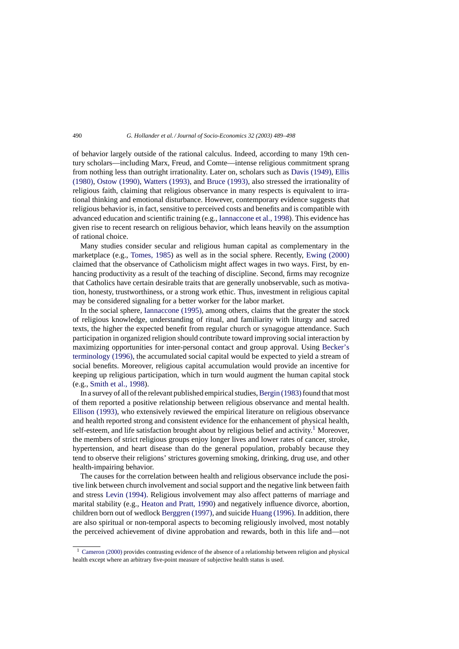of behavior largely outside of the rational calculus. Indeed, according to many 19th century scholars—including Marx, Freud, and Comte—intense religious commitment sprang from nothing less than outright irrationality. Later on, scholars such as [Davis \(1949\),](#page--1-0) [Ellis](#page--1-0) [\(1980\),](#page--1-0) [Ostow \(1990\),](#page--1-0) [Watters \(1993\),](#page--1-0) and [Bruce \(1993\),](#page--1-0) also stressed the irrationality of religious faith, claiming that religious observance in many respects is equivalent to irrational thinking and emotional disturbance. However, contemporary evidence suggests that religious behavior is, in fact, sensitive to perceived costs and benefits and is compatible with advanced education and scientific training (e.g., [Iannaccone et al., 1998\).](#page--1-0) This evidence has given rise to recent research on religious behavior, which leans heavily on the assumption of rational choice.

Many studies consider secular and religious human capital as complementary in the marketplace (e.g., [Tomes, 1985\)](#page--1-0) as well as in the social sphere. Recently, [Ewing \(2000\)](#page--1-0) claimed that the observance of Catholicism might affect wages in two ways. First, by enhancing productivity as a result of the teaching of discipline. Second, firms may recognize that Catholics have certain desirable traits that are generally unobservable, such as motivation, honesty, trustworthiness, or a strong work ethic. Thus, investment in religious capital may be considered signaling for a better worker for the labor market.

In the social sphere, [Iannaccone \(1995\),](#page--1-0) among others, claims that the greater the stock of religious knowledge, understanding of ritual, and familiarity with liturgy and sacred texts, the higher the expected benefit from regular church or synagogue attendance. Such participation in organized religion should contribute toward improving social interaction by maximizing opportunities for inter-personal contact and group approval. Using [Becker's](#page--1-0) [terminology \(1996\), t](#page--1-0)he accumulated social capital would be expected to yield a stream of social benefits. Moreover, religious capital accumulation would provide an incentive for keeping up religious participation, which in turn would augment the human capital stock (e.g., [Smith et al., 1998\).](#page--1-0)

In a survey of all of the relevant published empirical studies, Bergin (1983) found that most of them reported a positive relationship between religious observance and mental health. [Ellison \(1993\),](#page--1-0) who extensively reviewed the empirical literature on religious observance and health reported strong and consistent evidence for the enhancement of physical health, self-esteem, and life satisfaction brought about by religious belief and activity.<sup>1</sup> Moreover, the members of strict religious groups enjoy longer lives and lower rates of cancer, stroke, hypertension, and heart disease than do the general population, probably because they tend to observe their religions' strictures governing smoking, drinking, drug use, and other health-impairing behavior.

The causes for the correlation between health and religious observance include the positive link between church involvement and social support and the negative link between faith and stress [Levin \(1994\).](#page--1-0) Religious involvement may also affect patterns of marriage and marital stability (e.g., [Heaton and Pratt, 1990\)](#page--1-0) and negatively influence divorce, abortion, children born out of wedlock [Berggren \(1997\), a](#page--1-0)nd suicide [Huang \(1996\). I](#page--1-0)n addition, there are also spiritual or non-temporal aspects to becoming religiously involved, most notably the perceived achievement of divine approbation and rewards, both in this life and—not

<sup>1</sup> [Cameron \(2000\)](#page--1-0) provides contrasting evidence of the absence of a relationship between religion and physical health except where an arbitrary five-point measure of subjective health status is used.